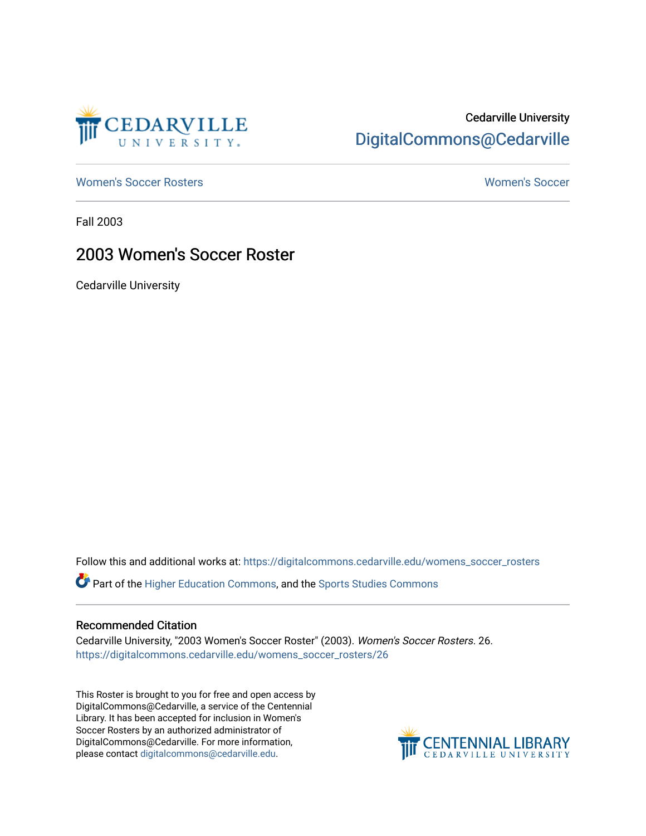

## Cedarville University [DigitalCommons@Cedarville](https://digitalcommons.cedarville.edu/)

[Women's Soccer Rosters](https://digitalcommons.cedarville.edu/womens_soccer_rosters) [Women's Soccer](https://digitalcommons.cedarville.edu/womens_soccer) 

Fall 2003

### 2003 Women's Soccer Roster

Cedarville University

Follow this and additional works at: [https://digitalcommons.cedarville.edu/womens\\_soccer\\_rosters](https://digitalcommons.cedarville.edu/womens_soccer_rosters?utm_source=digitalcommons.cedarville.edu%2Fwomens_soccer_rosters%2F26&utm_medium=PDF&utm_campaign=PDFCoverPages) 

Part of the [Higher Education Commons,](http://network.bepress.com/hgg/discipline/1245?utm_source=digitalcommons.cedarville.edu%2Fwomens_soccer_rosters%2F26&utm_medium=PDF&utm_campaign=PDFCoverPages) and the [Sports Studies Commons](http://network.bepress.com/hgg/discipline/1198?utm_source=digitalcommons.cedarville.edu%2Fwomens_soccer_rosters%2F26&utm_medium=PDF&utm_campaign=PDFCoverPages) 

#### Recommended Citation

Cedarville University, "2003 Women's Soccer Roster" (2003). Women's Soccer Rosters. 26. [https://digitalcommons.cedarville.edu/womens\\_soccer\\_rosters/26](https://digitalcommons.cedarville.edu/womens_soccer_rosters/26?utm_source=digitalcommons.cedarville.edu%2Fwomens_soccer_rosters%2F26&utm_medium=PDF&utm_campaign=PDFCoverPages)

This Roster is brought to you for free and open access by DigitalCommons@Cedarville, a service of the Centennial Library. It has been accepted for inclusion in Women's Soccer Rosters by an authorized administrator of DigitalCommons@Cedarville. For more information, please contact [digitalcommons@cedarville.edu](mailto:digitalcommons@cedarville.edu).